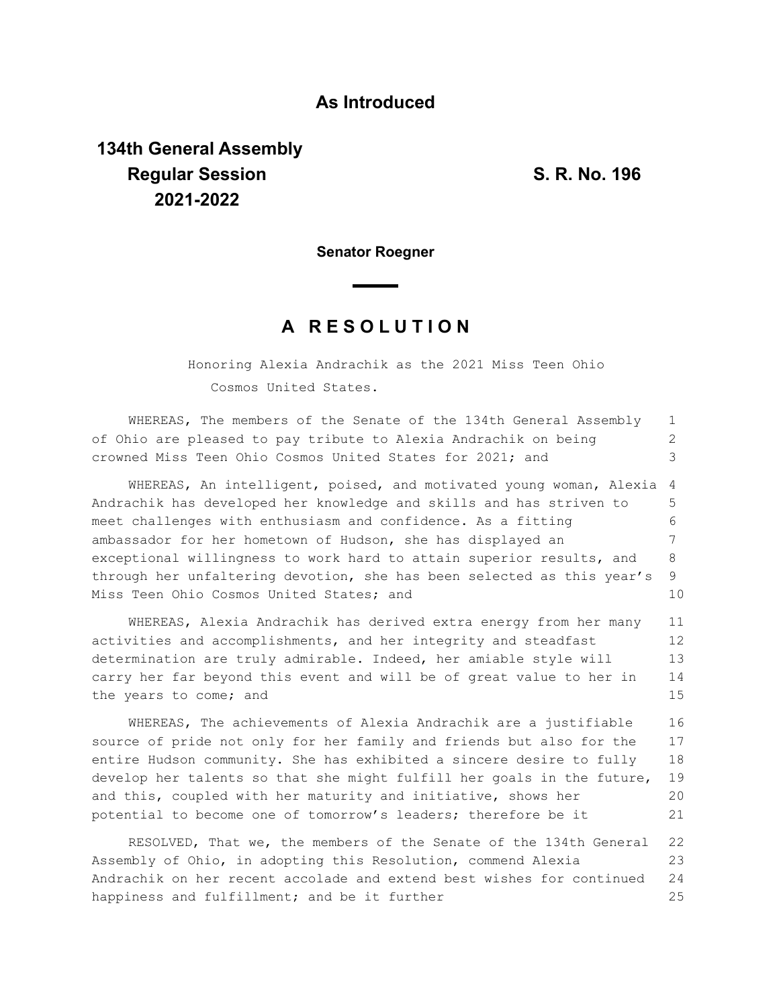## **As Introduced**

## **134th General Assembly Regular Session S. R. No. 196 2021-2022**

**Senator Roegner**

## **A R E S O L U T I O N**

Honoring Alexia Andrachik as the 2021 Miss Teen Ohio Cosmos United States.

| WHEREAS, The members of the Senate of the 134th General Assembly                                                                                                                                                                                                                                           | $\mathbf{1}$               |  |  |  |  |  |  |  |  |  |
|------------------------------------------------------------------------------------------------------------------------------------------------------------------------------------------------------------------------------------------------------------------------------------------------------------|----------------------------|--|--|--|--|--|--|--|--|--|
| of Ohio are pleased to pay tribute to Alexia Andrachik on being                                                                                                                                                                                                                                            | 2                          |  |  |  |  |  |  |  |  |  |
| crowned Miss Teen Ohio Cosmos United States for 2021; and                                                                                                                                                                                                                                                  | 3                          |  |  |  |  |  |  |  |  |  |
| WHEREAS, An intelligent, poised, and motivated young woman, Alexia                                                                                                                                                                                                                                         | 4                          |  |  |  |  |  |  |  |  |  |
| Andrachik has developed her knowledge and skills and has striven to                                                                                                                                                                                                                                        | 5                          |  |  |  |  |  |  |  |  |  |
| meet challenges with enthusiasm and confidence. As a fitting                                                                                                                                                                                                                                               |                            |  |  |  |  |  |  |  |  |  |
| ambassador for her hometown of Hudson, she has displayed an                                                                                                                                                                                                                                                |                            |  |  |  |  |  |  |  |  |  |
| exceptional willingness to work hard to attain superior results, and                                                                                                                                                                                                                                       | 8                          |  |  |  |  |  |  |  |  |  |
| through her unfaltering devotion, she has been selected as this year's                                                                                                                                                                                                                                     | 9                          |  |  |  |  |  |  |  |  |  |
| Miss Teen Ohio Cosmos United States; and                                                                                                                                                                                                                                                                   | 10                         |  |  |  |  |  |  |  |  |  |
| WHEREAS, Alexia Andrachik has derived extra energy from her many<br>activities and accomplishments, and her integrity and steadfast<br>determination are truly admirable. Indeed, her amiable style will<br>carry her far beyond this event and will be of great value to her in<br>the years to come; and | 11<br>12<br>13<br>14<br>15 |  |  |  |  |  |  |  |  |  |
| WHEREAS, The achievements of Alexia Andrachik are a justifiable                                                                                                                                                                                                                                            | 16                         |  |  |  |  |  |  |  |  |  |
| source of pride not only for her family and friends but also for the                                                                                                                                                                                                                                       | 17                         |  |  |  |  |  |  |  |  |  |
| entire Hudson community. She has exhibited a sincere desire to fully                                                                                                                                                                                                                                       | 18                         |  |  |  |  |  |  |  |  |  |
| develop her talents so that she might fulfill her goals in the future,                                                                                                                                                                                                                                     | 19                         |  |  |  |  |  |  |  |  |  |
| and this, coupled with her maturity and initiative, shows her                                                                                                                                                                                                                                              | 20                         |  |  |  |  |  |  |  |  |  |
| potential to become one of tomorrow's leaders; therefore be it                                                                                                                                                                                                                                             | 21                         |  |  |  |  |  |  |  |  |  |
|                                                                                                                                                                                                                                                                                                            |                            |  |  |  |  |  |  |  |  |  |

RESOLVED, That we, the members of the Senate of the 134th General 22 Assembly of Ohio, in adopting this Resolution, commend Alexia Andrachik on her recent accolade and extend best wishes for continued happiness and fulfillment; and be it further 23 24 25